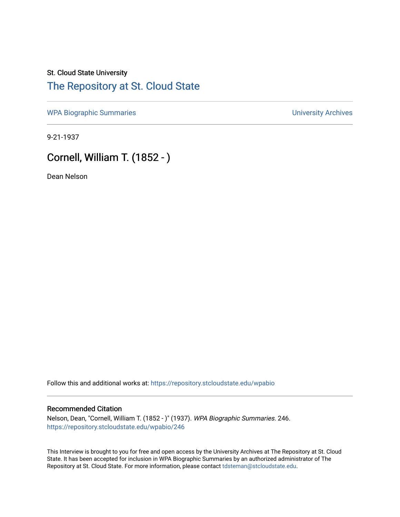# St. Cloud State University [The Repository at St. Cloud State](https://repository.stcloudstate.edu/)

[WPA Biographic Summaries](https://repository.stcloudstate.edu/wpabio) **WPA Biographic Summaries University Archives** 

9-21-1937

# Cornell, William T. (1852 - )

Dean Nelson

Follow this and additional works at: [https://repository.stcloudstate.edu/wpabio](https://repository.stcloudstate.edu/wpabio?utm_source=repository.stcloudstate.edu%2Fwpabio%2F246&utm_medium=PDF&utm_campaign=PDFCoverPages) 

### Recommended Citation

Nelson, Dean, "Cornell, William T. (1852 - )" (1937). WPA Biographic Summaries. 246. [https://repository.stcloudstate.edu/wpabio/246](https://repository.stcloudstate.edu/wpabio/246?utm_source=repository.stcloudstate.edu%2Fwpabio%2F246&utm_medium=PDF&utm_campaign=PDFCoverPages) 

This Interview is brought to you for free and open access by the University Archives at The Repository at St. Cloud State. It has been accepted for inclusion in WPA Biographic Summaries by an authorized administrator of The Repository at St. Cloud State. For more information, please contact [tdsteman@stcloudstate.edu.](mailto:tdsteman@stcloudstate.edu)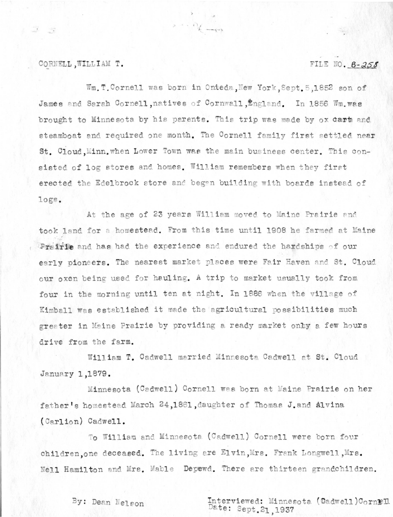### CORNELL, WILLIAM T.

### FILE NO. 6-258

Wm. T. Cornell was born in Onteda, New York, Sept. 5,1852 son of James and Sarah Cornell, natives of Cornwall, England. In 1856 Wm. was brought to Minnesota by his parents. This trip was made by ox dart and steamboat and required one month. The Cornell family first settled near St. Cloud, Minn, when Lower Town was the main business center. This consisted of log stores and homes. William remembers when they first erected the Edelbrock store and began building with boards instead of logs.

At the age of 23 years William moved to Maine Prairie and took land for a homestead. From this time until 1908 he farmed at Maine Preirie and has had the experience and endured the hardships of our early pioneers. The nearest market places were Fair Haven and St. Cloud our oxen being used for hauling. A trip to market usually took from four in the morning until ten at night. In 1886 when the village of Kimball was established it made the agricultural possibilities much greater in Maine Prairie by providing a ready market onby a few hours drive from the farm.

William T. Cadwell married Minnesota Cadwell at St. Cloud January 1,1879.

Minnesota (Cadwell) Cornell was born at Maine Prairie on her father's homestead March 24,1861, daughter of Thomas J. and Alvina (Carlion) Cadwell.

To William and Minnesota (Cadwell) Cornell were born four children, one deceased. The living are Elvin, Mrs. Frank Longwell, Mrs. Nell Hamilton and Mrs. Mable Depewd. There are thirteen grandchildren.

By: Dean Nelson

Interviewed: Minnesota (Oadwell)CornEll<br>Date: Sept.21,1937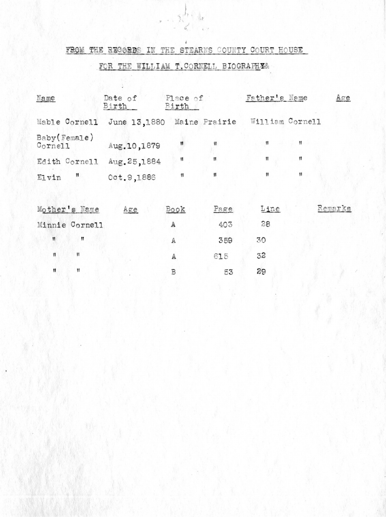## FROM THE REGORDS IN THE STEARNS COUNTY COURT HOUSE

## FOR THE WILLIAM T. CORNELL BIOGRAPHES

ADV: 9

| Name                    | Date of<br>Birth           | Place of<br>Birth |      | Father's Name   |    | Age     |
|-------------------------|----------------------------|-------------------|------|-----------------|----|---------|
| Mable Cornell           | June 13,1880 Maine Prairie |                   |      | William Cornell |    |         |
| Baby(Female)<br>Cornell | Aug. 10,1879               | 11                | Ħ    | Ħ               | Ħ  |         |
| Edith Cornell           | Aug. 25,1884               | 11                | 11   | 11              | 11 |         |
| Ħ<br>Elvin              | Oct. 9,1886                | 11                | 11   | Ħ               | 11 |         |
| Mother's Name           | Age                        | Book              | Page | Line            |    | Remarks |
| Minnie Cornell          |                            | А                 | 403  | 28              |    |         |
| $^{\mathsf{11}}$<br>11  |                            | $\mathbb A$       | 359  | 30              |    |         |
| Ħ<br>$\mathbf{H}$       |                            | A                 | 615  | 32              |    |         |
| Ħ<br>Ħ                  |                            | B                 | 53   | 29              |    |         |